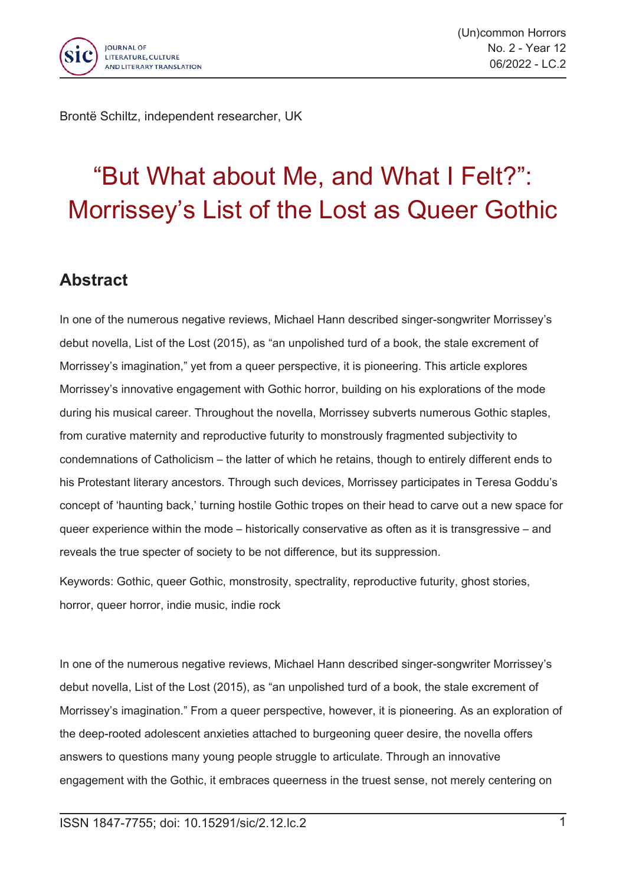

Brontë Schiltz, independent researcher, UK

## "But What about Me, and What I Felt?": Morrissey's List of the Lost as Queer Gothic

## **Abstract**

In one of the numerous negative reviews, Michael Hann described singer-songwriter Morrissey's debut novella, List of the Lost (2015), as "an unpolished turd of <sup>a</sup> book, the stale excrement of Morrissey's imagination," yet from <sup>a</sup> queer perspective, it is pioneering. This article explores Morrissey's innovative engagement with Gothic horror, building on his explorations of the mode during his musical career. Throughout the novella, Morrissey subverts numerous Gothic staples, from curative maternity and reproductive futurity to monstrously fragmented subjectivity to condemnations of Catholicism – the latter of which he retains, though to entirely different ends to his Protestant literary ancestors. Through such devices, Morrissey participates in Teresa Goddu's concept of 'haunting back,' turning hostile Gothic tropes on their head to carve out <sup>a</sup> new space for queer experience within the mode – historically conservative as often as it is transgressive – and reveals the true specter of society to be not difference, but its suppression.

Keywords: Gothic, queer Gothic, monstrosity, spectrality, reproductive futurity, ghost stories, horror, queer horror, indie music, indie rock

In one of the numerous negative reviews, Michael Hann described singer-songwriter Morrissey's debut novella, List of the Lost (2015), as "an unpolished turd of <sup>a</sup> book, the stale excrement of Morrissey's imagination." From <sup>a</sup> queer perspective, however, it is pioneering. As an exploration of the deep-rooted adolescent anxieties attached to burgeoning queer desire, the novella offers answers to questions many young people struggle to articulate. Through an innovative engagement with the Gothic, it embraces queerness in the truest sense, not merely centering on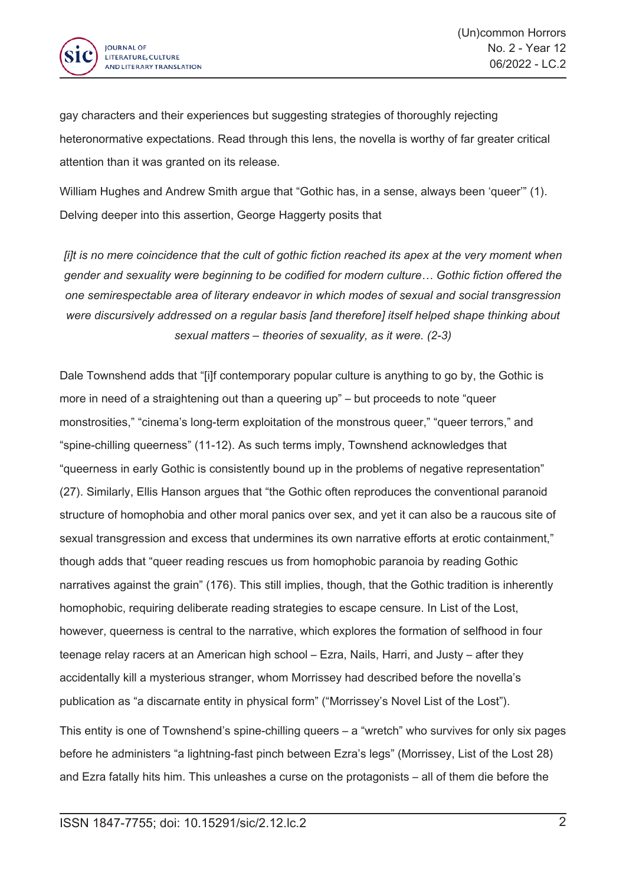

gay characters and their experiences but suggesting strategies of thoroughly rejecting heteronormative expectations. Read through this lens, the novella is worthy of far greater critical attention than it was granted on its release.

William Hughes and Andrew Smith argue that "Gothic has, in a sense, always been 'queer'" (1). Delving deeper into this assertion, George Haggerty posits that

*lift* is no mere coincidence that the cult of gothic fiction reached its apex at the very moment when *gender and sexuality were beginning to be codified for modern culture… Gothic fiction offered the one semirespectable area of literary endeavor in which modes of sexual and social transgression were discursively addressed on <sup>a</sup> regular basis [and therefore] itself helped shape thinking about sexual matters – theories of sexuality, as it were. (2-3)*

Dale Townshend adds that "[i]f contemporary popular culture is anything to go by, the Gothic is more in need of <sup>a</sup> straightening out than <sup>a</sup> queering up" – but proceeds to note "queer monstrosities," "cinema's long-term exploitation of the monstrous queer," "queer terrors," and "spine-chilling queerness" (11-12). As such terms imply, Townshend acknowledges that "queerness in early Gothic is consistently bound up in the problems of negative representation" (27). Similarly, Ellis Hanson argues that "the Gothic often reproduces the conventional paranoid structure of homophobia and other moral panics over sex, and yet it can also be <sup>a</sup> raucous site of sexual transgression and excess that undermines its own narrative efforts at erotic containment," though adds that "queer reading rescues us from homophobic paranoia by reading Gothic narratives against the grain" (176). This still implies, though, that the Gothic tradition is inherently homophobic, requiring deliberate reading strategies to escape censure. In List of the Lost, however, queerness is central to the narrative, which explores the formation of selfhood in four teenage relay racers at an American high school – Ezra, Nails, Harri, and Justy – after they accidentally kill <sup>a</sup> mysterious stranger, whom Morrissey had described before the novella's publication as "a discarnate entity in physical form" ("Morrissey's Novel List of the Lost").

This entity is one of Townshend's spine-chilling queers – <sup>a</sup> "wretch" who survives for only six pages before he administers "a lightning-fast pinch between Ezra's legs" (Morrissey, List of the Lost 28) and Ezra fatally hits him. This unleashes <sup>a</sup> curse on the protagonists – all of them die before the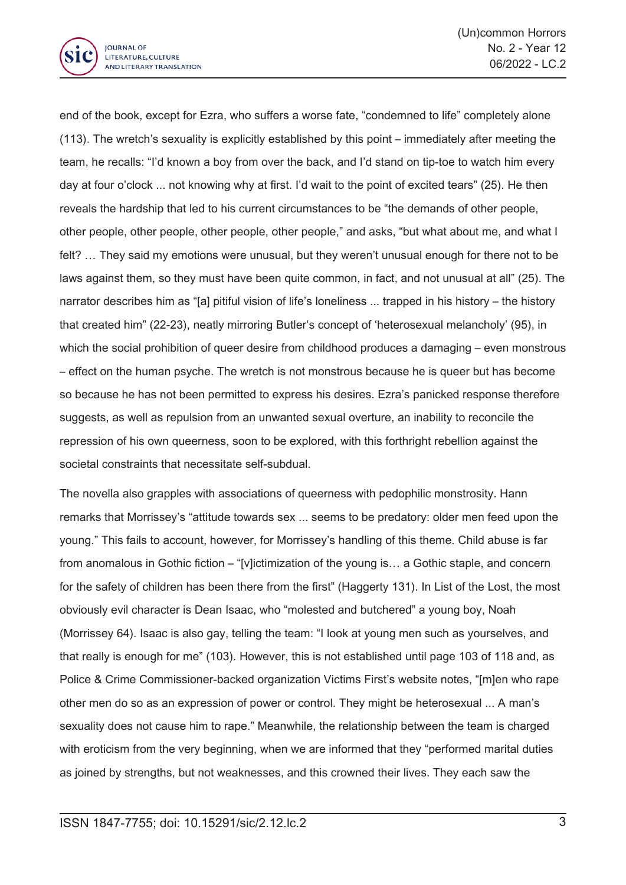

end of the book, except for Ezra, who suffers <sup>a</sup> worse fate, "condemned to life" completely alone (113). The wretch's sexuality is explicitly established by this point – immediately after meeting the team, he recalls: "I'd known <sup>a</sup> boy from over the back, and I'd stand on tip-toe to watch him every day at four <sup>o</sup>'clock ... not knowing why at first. I'd wait to the point of excited tears" (25). He then reveals the hardship that led to his current circumstances to be "the demands of other people, other people, other people, other people, other people," and asks, "but what about me, and what I felt? … They said my emotions were unusual, but they weren't unusual enough for there not to be laws against them, so they must have been quite common, in fact, and not unusual at all" (25). The narrator describes him as "[a] pitiful vision of life's loneliness ... trapped in his history – the history that created him" (22-23), neatly mirroring Butler's concept of 'heterosexual melancholy' (95), in which the social prohibition of queer desire from childhood produces a damaging – even monstrous – effect on the human psyche. The wretch is not monstrous because he is queer but has become so because he has not been permitted to express his desires. Ezra's panicked response therefore suggests, as well as repulsion from an unwanted sexual overture, an inability to reconcile the repression of his own queerness, soon to be explored, with this forthright rebellion against the societal constraints that necessitate self-subdual.

The novella also grapples with associations of queerness with pedophilic monstrosity. Hann remarks that Morrissey's "attitude towards sex ... seems to be predatory: older men feed upon the young." This fails to account, however, for Morrissey's handling of this theme. Child abuse is far from anomalous in Gothic fiction – "[v]ictimization of the young is… <sup>a</sup> Gothic staple, and concern for the safety of children has been there from the first" (Haggerty 131). In List of the Lost, the most obviously evil character is Dean Isaac, who "molested and butchered" <sup>a</sup> young boy, Noah (Morrissey 64). Isaac is also gay, telling the team: "I look at young men such as yourselves, and that really is enough for me" (103). However, this is not established until page 103 of 118 and, as Police & Crime Commissioner-backed organization Victims First's website notes, "[m]en who rape other men do so as an expression of power or control. They might be heterosexual ... A man's sexuality does not cause him to rape." Meanwhile, the relationship between the team is charged with eroticism from the very beginning, when we are informed that they "performed marital duties as joined by strengths, but not weaknesses, and this crowned their lives. They each saw the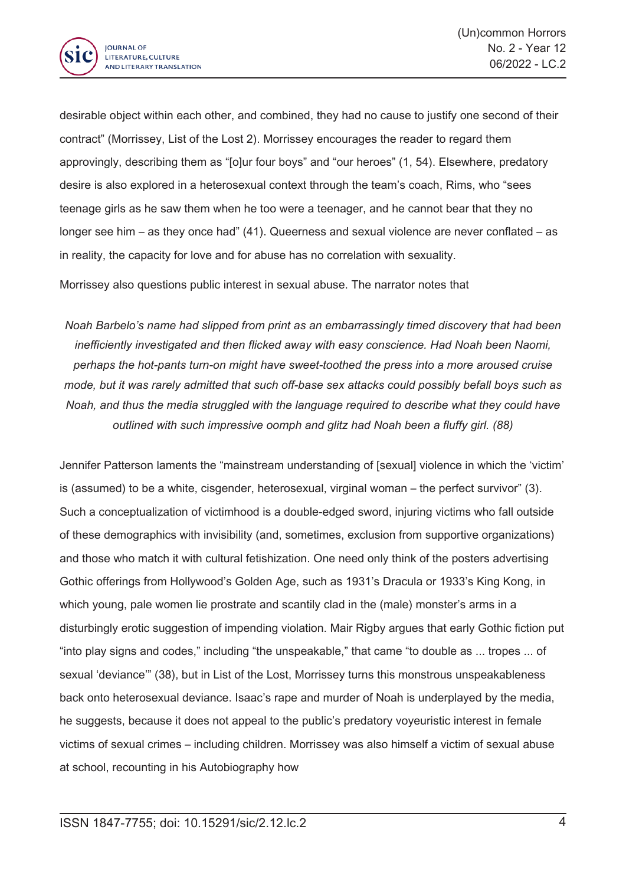

desirable object within each other, and combined, they had no cause to justify one second of their contract" (Morrissey, List of the Lost 2). Morrissey encourages the reader to regard them approvingly, describing them as "[o]ur four boys" and "our heroes" (1, 54). Elsewhere, predatory desire is also explored in <sup>a</sup> heterosexual context through the team's coach, Rims, who "sees teenage girls as he saw them when he too were <sup>a</sup> teenager, and he cannot bear that they no longer see him – as they once had" (41). Queerness and sexual violence are never conflated – as in reality, the capacity for love and for abuse has no correlation with sexuality.

Morrissey also questions public interest in sexual abuse. The narrator notes that

*Noah Barbelo's name had slipped from print as an embarrassingly timed discovery that had been inefficiently investigated and then flicked away with easy conscience. Had Noah been Naomi, perhaps the hot-pants turn-on might have sweet-toothed the press into <sup>a</sup> more aroused cruise mode, but it was rarely admitted that such off-base sex attacks could possibly befall boys such as Noah, and thus the media struggled with the language required to describe what they could have outlined with such impressive oomph and glitz had Noah been <sup>a</sup> fluffy girl. (88)*

Jennifer Patterson laments the "mainstream understanding of [sexual] violence in which the 'victim' is (assumed) to be <sup>a</sup> white, cisgender, heterosexual, virginal woman – the perfect survivor" (3). Such <sup>a</sup> conceptualization of victimhood is <sup>a</sup> double-edged sword, injuring victims who fall outside of these demographics with invisibility (and, sometimes, exclusion from supportive organizations) and those who match it with cultural fetishization. One need only think of the posters advertising Gothic offerings from Hollywood's Golden Age, such as 1931's Dracula or 1933's King Kong, in which young, pale women lie prostrate and scantily clad in the (male) monster's arms in <sup>a</sup> disturbingly erotic suggestion of impending violation. Mair Rigby argues that early Gothic fiction put "into play signs and codes," including "the unspeakable," that came "to double as ... tropes ... of sexual 'deviance'" (38), but in List of the Lost, Morrissey turns this monstrous unspeakableness back onto heterosexual deviance. Isaac's rape and murder of Noah is underplayed by the media, he suggests, because it does not appeal to the public's predatory voyeuristic interest in female victims of sexual crimes – including children. Morrissey was also himself <sup>a</sup> victim of sexual abuse at school, recounting in his Autobiography how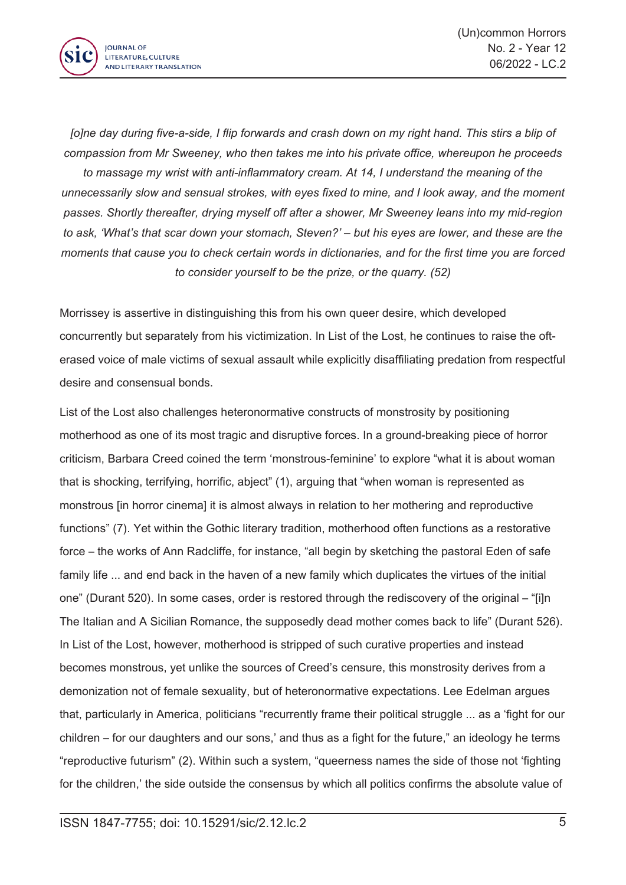

Jolne day during five-a-side, I flip forwards and crash down on my right hand. This stirs a blip of *compassion from Mr Sweeney, who then takes me into his private office, whereupon he proceeds to massage my wrist with anti-inflammatory cream. At 14, I understand the meaning of the unnecessarily slow and sensual strokes, with eyes fixed to mine, and I look away, and the moment passes. Shortly thereafter, drying myself off after <sup>a</sup> shower, Mr Sweeney leans into my mid-region* to ask, 'What's that scar down your stomach, Steven?' – but his eyes are lower, and these are the moments that cause you to check certain words in dictionaries, and for the first time you are forced *to consider yourself to be the prize, or the quarry. (52)*

Morrissey is assertive in distinguishing this from his own queer desire, which developed concurrently but separately from his victimization. In List of the Lost, he continues to raise the ofterased voice of male victims of sexual assault while explicitly disaffiliating predation from respectful desire and consensual bonds.

List of the Lost also challenges heteronormative constructs of monstrosity by positioning motherhood as one of its most tragic and disruptive forces. In <sup>a</sup> ground-breaking piece of horror criticism, Barbara Creed coined the term 'monstrous-feminine' to explore "what it is about woman that is shocking, terrifying, horrific, abject" (1), arguing that "when woman is represented as monstrous [in horror cinema] it is almost always in relation to her mothering and reproductive functions" (7). Yet within the Gothic literary tradition, motherhood often functions as <sup>a</sup> restorative force – the works of Ann Radcliffe, for instance, "all begin by sketching the pastoral Eden of safe family life ... and end back in the haven of <sup>a</sup> new family which duplicates the virtues of the initial one" (Durant 520). In some cases, order is restored through the rediscovery of the original – "[i]n The Italian and A Sicilian Romance, the supposedly dead mother comes back to life" (Durant 526). In List of the Lost, however, motherhood is stripped of such curative properties and instead becomes monstrous, yet unlike the sources of Creed's censure, this monstrosity derives from <sup>a</sup> demonization not of female sexuality, but of heteronormative expectations. Lee Edelman argues that, particularly in America, politicians "recurrently frame their political struggle ... as <sup>a</sup> 'fight for our children – for our daughters and our sons,' and thus as <sup>a</sup> fight for the future," an ideology he terms "reproductive futurism" (2). Within such <sup>a</sup> system, "queerness names the side of those not 'fighting for the children,' the side outside the consensus by which all politics confirms the absolute value of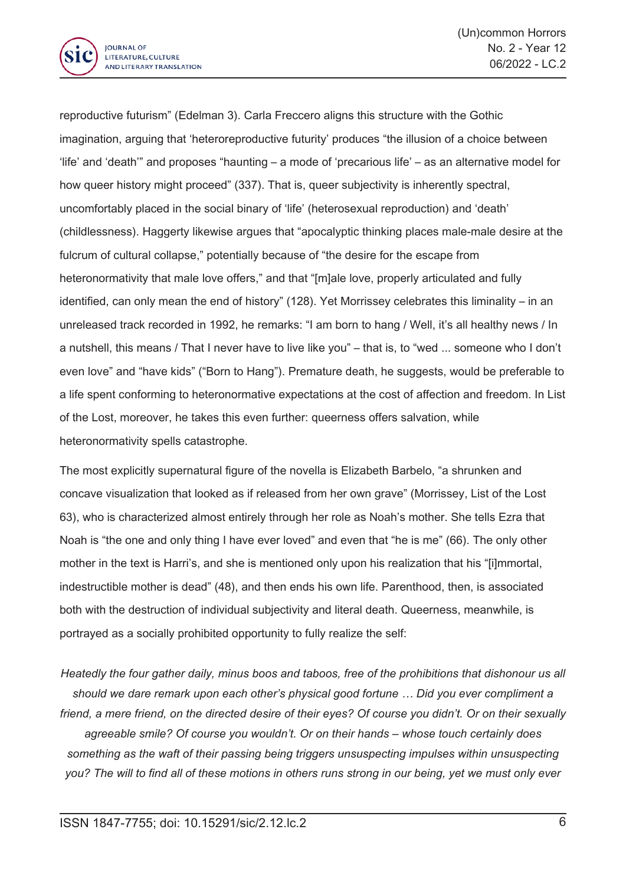

reproductive futurism" (Edelman 3). Carla Freccero aligns this structure with the Gothic imagination, arguing that 'heteroreproductive futurity' produces "the illusion of <sup>a</sup> choice between 'life' and 'death'" and proposes "haunting – <sup>a</sup> mode of 'precarious life' – as an alternative model for how queer history might proceed" (337). That is, queer subjectivity is inherently spectral, uncomfortably placed in the social binary of 'life' (heterosexual reproduction) and 'death' (childlessness). Haggerty likewise argues that "apocalyptic thinking places male-male desire at the fulcrum of cultural collapse," potentially because of "the desire for the escape from heteronormativity that male love offers," and that "[m]ale love, properly articulated and fully identified, can only mean the end of history" (128). Yet Morrissey celebrates this liminality – in an unreleased track recorded in 1992, he remarks: "I am born to hang / Well, it's all healthy news / In <sup>a</sup> nutshell, this means / That I never have to live like you" – that is, to "wed ... someone who I don't even love" and "have kids" ("Born to Hang"). Premature death, he suggests, would be preferable to <sup>a</sup> life spent conforming to heteronormative expectations at the cost of affection and freedom. In List of the Lost, moreover, he takes this even further: queerness offers salvation, while heteronormativity spells catastrophe.

The most explicitly supernatural figure of the novella is Elizabeth Barbelo, "a shrunken and concave visualization that looked as if released from her own grave" (Morrissey, List of the Lost 63), who is characterized almost entirely through her role as Noah's mother. She tells Ezra that Noah is "the one and only thing I have ever loved" and even that "he is me" (66). The only other mother in the text is Harri's, and she is mentioned only upon his realization that his "[i]mmortal, indestructible mother is dead" (48), and then ends his own life. Parenthood, then, is associated both with the destruction of individual subjectivity and literal death. Queerness, meanwhile, is portrayed as <sup>a</sup> socially prohibited opportunity to fully realize the self:

*Heatedly the four gather daily, minus boos and taboos, free of the prohibitions that dishonour us all should we dare remark upon each other's physical good fortune … Did you ever compliment <sup>a</sup>* friend, a mere friend, on the directed desire of their eyes? Of course you didn't. Or on their sexually *agreeable smile? Of course you wouldn't. Or on their hands – whose touch certainly does something as the waft of their passing being triggers unsuspecting impulses within unsuspecting* you? The will to find all of these motions in others runs strong in our being, yet we must only ever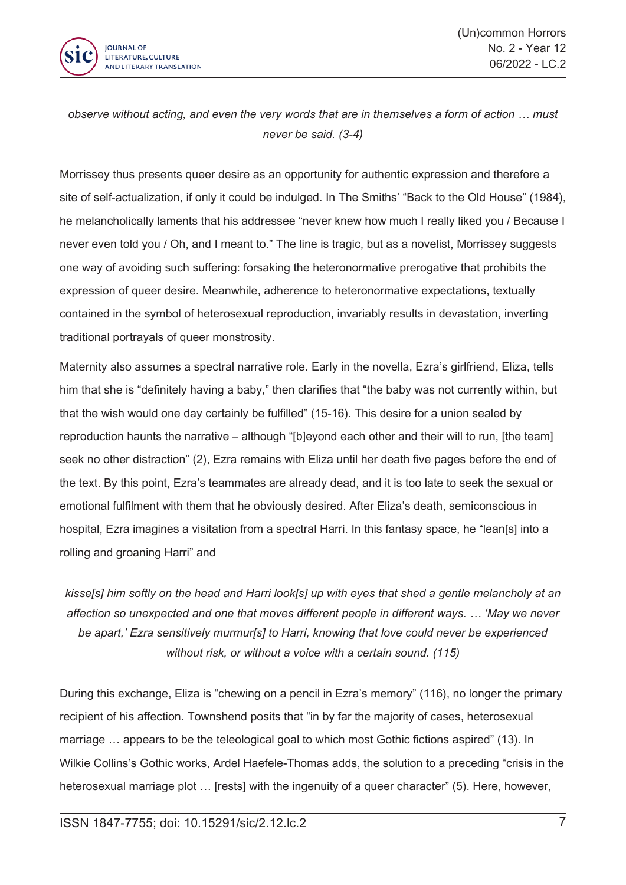

*observe without acting, and even the very words that are in themselves <sup>a</sup> form of action … must never be said. (3-4)*

Morrissey thus presents queer desire as an opportunity for authentic expression and therefore <sup>a</sup> site of self-actualization, if only it could be indulged. In The Smiths' "Back to the Old House" (1984), he melancholically laments that his addressee "never knew how much I really liked you / Because I never even told you / Oh, and I meant to." The line is tragic, but as <sup>a</sup> novelist, Morrissey suggests one way of avoiding such suffering: forsaking the heteronormative prerogative that prohibits the expression of queer desire. Meanwhile, adherence to heteronormative expectations, textually contained in the symbol of heterosexual reproduction, invariably results in devastation, inverting traditional portrayals of queer monstrosity.

Maternity also assumes <sup>a</sup> spectral narrative role. Early in the novella, Ezra's girlfriend, Eliza, tells him that she is "definitely having <sup>a</sup> baby," then clarifies that "the baby was not currently within, but that the wish would one day certainly be fulfilled" (15-16). This desire for <sup>a</sup> union sealed by reproduction haunts the narrative – although "[b]eyond each other and their will to run, [the team] seek no other distraction" (2), Ezra remains with Eliza until her death five pages before the end of the text. By this point, Ezra's teammates are already dead, and it is too late to seek the sexual or emotional fulfilment with them that he obviously desired. After Eliza's death, semiconscious in hospital, Ezra imagines a visitation from a spectral Harri. In this fantasy space, he "lean[s] into a rolling and groaning Harri" and

kisse[s] him softly on the head and Harri look[s] up with eyes that shed a gentle melancholy at an *affection so unexpected and one that moves different people in different ways. … 'May we never be apart,' Ezra sensitively murmur[s] to Harri, knowing that love could never be experienced without risk, or without <sup>a</sup> voice with <sup>a</sup> certain sound. (115)*

During this exchange, Eliza is "chewing on <sup>a</sup> pencil in Ezra's memory" (116), no longer the primary recipient of his affection. Townshend posits that "in by far the majority of cases, heterosexual marriage … appears to be the teleological goal to which most Gothic fictions aspired" (13). In Wilkie Collins's Gothic works, Ardel Haefele-Thomas adds, the solution to <sup>a</sup> preceding "crisis in the heterosexual marriage plot … [rests] with the ingenuity of <sup>a</sup> queer character" (5). Here, however,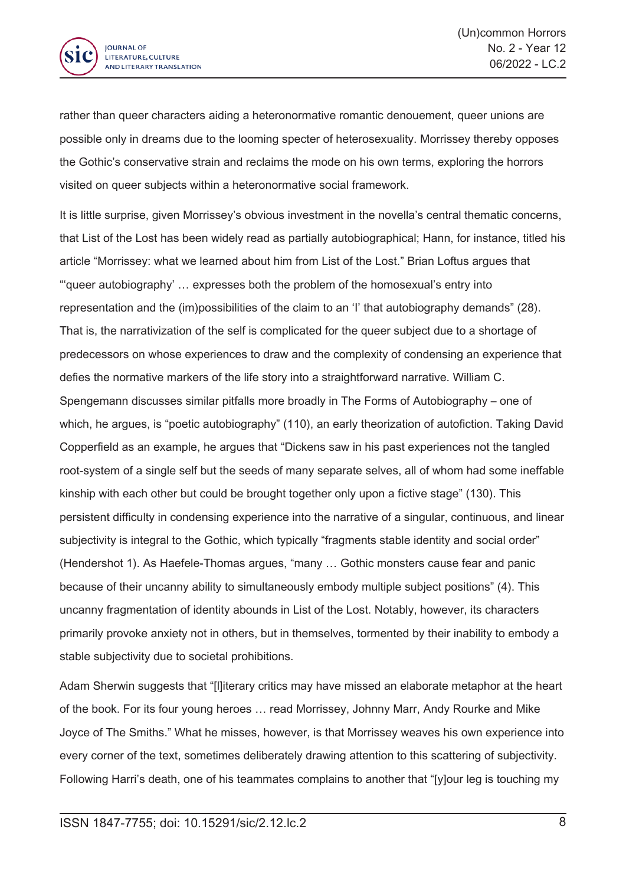

rather than queer characters aiding <sup>a</sup> heteronormative romantic denouement, queer unions are possible only in dreams due to the looming specter of heterosexuality. Morrissey thereby opposes the Gothic's conservative strain and reclaims the mode on his own terms, exploring the horrors visited on queer subjects within <sup>a</sup> heteronormative social framework.

It is little surprise, given Morrissey's obvious investment in the novella's central thematic concerns, that List of the Lost has been widely read as partially autobiographical; Hann, for instance, titled his article "Morrissey: what we learned about him from List of the Lost." Brian Loftus argues that "'queer autobiography' … expresses both the problem of the homosexual's entry into representation and the (im)possibilities of the claim to an 'I' that autobiography demands" (28). That is, the narrativization of the self is complicated for the queer subject due to <sup>a</sup> shortage of predecessors on whose experiences to draw and the complexity of condensing an experience that defies the normative markers of the life story into <sup>a</sup> straightforward narrative. William C. Spengemann discusses similar pitfalls more broadly in The Forms of Autobiography – one of which, he argues, is "poetic autobiography" (110), an early theorization of autofiction. Taking David Copperfield as an example, he argues that "Dickens saw in his past experiences not the tangled root-system of <sup>a</sup> single self but the seeds of many separate selves, all of whom had some ineffable kinship with each other but could be brought together only upon <sup>a</sup> fictive stage" (130). This persistent difficulty in condensing experience into the narrative of <sup>a</sup> singular, continuous, and linear subjectivity is integral to the Gothic, which typically "fragments stable identity and social order" (Hendershot 1). As Haefele-Thomas argues, "many … Gothic monsters cause fear and panic because of their uncanny ability to simultaneously embody multiple subject positions" (4). This uncanny fragmentation of identity abounds in List of the Lost. Notably, however, its characters primarily provoke anxiety not in others, but in themselves, tormented by their inability to embody <sup>a</sup> stable subjectivity due to societal prohibitions.

Adam Sherwin suggests that "[l]iterary critics may have missed an elaborate metaphor at the heart of the book. For its four young heroes … read Morrissey, Johnny Marr, Andy Rourke and Mike Joyce of The Smiths." What he misses, however, is that Morrissey weaves his own experience into every corner of the text, sometimes deliberately drawing attention to this scattering of subjectivity. Following Harri's death, one of his teammates complains to another that "[y]our leg is touching my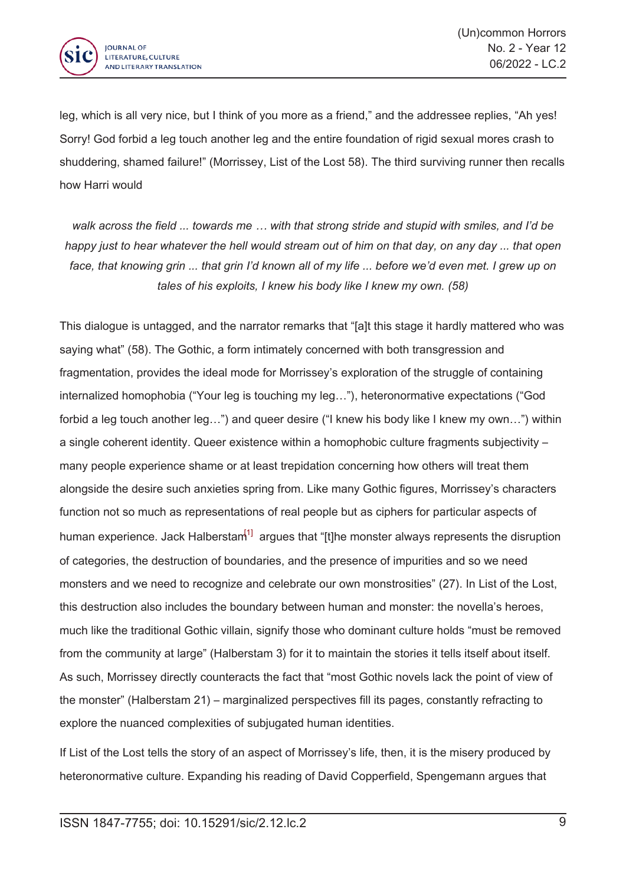

leg, which is all very nice, but I think of you more as <sup>a</sup> friend," and the addressee replies, "Ah yes! Sorry! God forbid <sup>a</sup> leg touch another leg and the entire foundation of rigid sexual mores crash to shuddering, shamed failure!" (Morrissey, List of the Lost 58). The third surviving runner then recalls how Harri would

walk across the field ... towards me ... with that strong stride and stupid with smiles, and I'd be happy just to hear whatever the hell would stream out of him on that day, on any day ... that open face, that knowing grin ... that grin I'd known all of my life ... before we'd even met. I grew up on *tales of his exploits, I knew his body like I knew my own. (58)*

This dialogue is untagged, and the narrator remarks that "[a]t this stage it hardly mattered who was saying what" (58). The Gothic, <sup>a</sup> form intimately concerned with both transgression and fragmentation, provides the ideal mode for Morrissey's exploration of the struggle of containing internalized homophobia ("Your leg is touching my leg…"), heteronormative expectations ("God forbid <sup>a</sup> leg touch another leg…") and queer desire ("I knew his body like I knew my own…") within <sup>a</sup> single coherent identity. Queer existence within <sup>a</sup> homophobic culture fragments subjectivity – many people experience shame or at least trepidation concerning how others will treat them alongside the desire such anxieties spring from. Like many Gothic figures, Morrissey's characters function not so much as representations of real people but as ciphers for particular aspects of human experience. Jack Halberstam<sup>[1]</sup> argues that "[t]he monster always represents the disruption of categories, the destruction of boundaries, and the presence of impurities and so we need monsters and we need to recognize and celebrate our own monstrosities" (27). In List of the Lost, this destruction also includes the boundary between human and monster: the novella's heroes, much like the traditional Gothic villain, signify those who dominant culture holds "must be removed from the community at large" (Halberstam 3) for it to maintain the stories it tells itself about itself. As such, Morrissey directly counteracts the fact that "most Gothic novels lack the point of view of the monster" (Halberstam 21) – marginalized perspectives fill its pages, constantly refracting to explore the nuanced complexities of subjugated human identities.

If List of the Lost tells the story of an aspect of Morrissey's life, then, it is the misery produced by heteronormative culture. Expanding his reading of David Copperfield, Spengemann argues that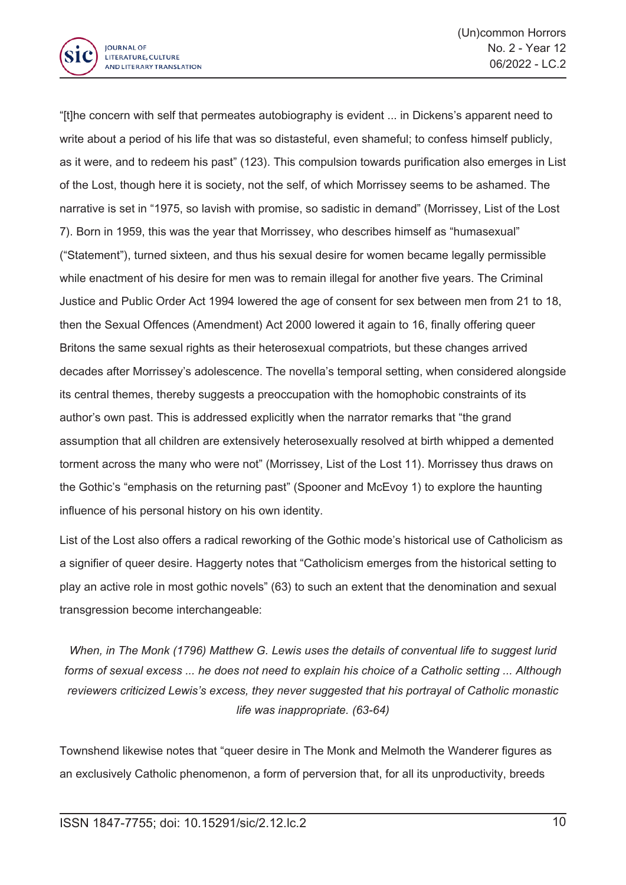

"[t]he concern with self that permeates autobiography is evident ... in Dickens's apparent need to write about <sup>a</sup> period of his life that was so distasteful, even shameful; to confess himself publicly, as it were, and to redeem his past" (123). This compulsion towards purification also emerges in List of the Lost, though here it is society, not the self, of which Morrissey seems to be ashamed. The narrative is set in "1975, so lavish with promise, so sadistic in demand" (Morrissey, List of the Lost 7). Born in 1959, this was the year that Morrissey, who describes himself as "humasexual" ("Statement"), turned sixteen, and thus his sexual desire for women became legally permissible while enactment of his desire for men was to remain illegal for another five years. The Criminal Justice and Public Order Act 1994 lowered the age of consent for sex between men from 21 to 18, then the Sexual Offences (Amendment) Act 2000 lowered it again to 16, finally offering queer Britons the same sexual rights as their heterosexual compatriots, but these changes arrived decades after Morrissey's adolescence. The novella's temporal setting, when considered alongside its central themes, thereby suggests <sup>a</sup> preoccupation with the homophobic constraints of its author's own past. This is addressed explicitly when the narrator remarks that "the grand assumption that all children are extensively heterosexually resolved at birth whipped <sup>a</sup> demented torment across the many who were not" (Morrissey, List of the Lost 11). Morrissey thus draws on the Gothic's "emphasis on the returning past" (Spooner and McEvoy 1) to explore the haunting influence of his personal history on his own identity.

List of the Lost also offers <sup>a</sup> radical reworking of the Gothic mode's historical use of Catholicism as <sup>a</sup> signifier of queer desire. Haggerty notes that "Catholicism emerges from the historical setting to play an active role in most gothic novels" (63) to such an extent that the denomination and sexual transgression become interchangeable:

*When, in The Monk (1796) Matthew G. Lewis uses the details of conventual life to suggest lurid* forms of sexual excess ... he does not need to explain his choice of a Catholic setting ... Although *reviewers criticized Lewis's excess, they never suggested that his portrayal of Catholic monastic life was inappropriate. (63-64)*

Townshend likewise notes that "queer desire in The Monk and Melmoth the Wanderer figures as an exclusively Catholic phenomenon, <sup>a</sup> form of perversion that, for all its unproductivity, breeds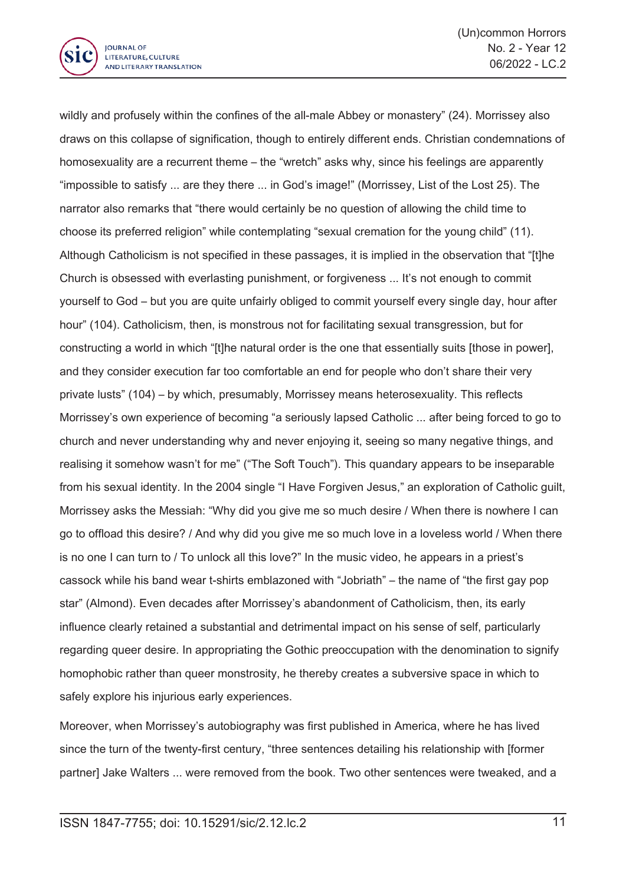

wildly and profusely within the confines of the all-male Abbey or monastery" (24). Morrissey also draws on this collapse of signification, though to entirely different ends. Christian condemnations of homosexuality are a recurrent theme – the "wretch" asks why, since his feelings are apparently "impossible to satisfy ... are they there ... in God's image!" (Morrissey, List of the Lost 25). The narrator also remarks that "there would certainly be no question of allowing the child time to choose its preferred religion" while contemplating "sexual cremation for the young child" (11). Although Catholicism is not specified in these passages, it is implied in the observation that "[t]he Church is obsessed with everlasting punishment, or forgiveness ... It's not enough to commit yourself to God – but you are quite unfairly obliged to commit yourself every single day, hour after hour" (104). Catholicism, then, is monstrous not for facilitating sexual transgression, but for constructing <sup>a</sup> world in which "[t]he natural order is the one that essentially suits [those in power], and they consider execution far too comfortable an end for people who don't share their very private lusts" (104) – by which, presumably, Morrissey means heterosexuality. This reflects Morrissey's own experience of becoming "a seriously lapsed Catholic ... after being forced to go to church and never understanding why and never enjoying it, seeing so many negative things, and realising it somehow wasn't for me" ("The Soft Touch"). This quandary appears to be inseparable from his sexual identity. In the 2004 single "I Have Forgiven Jesus," an exploration of Catholic guilt, Morrissey asks the Messiah: "Why did you give me so much desire / When there is nowhere I can go to offload this desire? / And why did you give me so much love in <sup>a</sup> loveless world / When there is no one I can turn to / To unlock all this love?" In the music video, he appears in <sup>a</sup> priest's cassock while his band wear t-shirts emblazoned with "Jobriath" – the name of "the first gay pop star" (Almond). Even decades after Morrissey's abandonment of Catholicism, then, its early influence clearly retained <sup>a</sup> substantial and detrimental impact on his sense of self, particularly regarding queer desire. In appropriating the Gothic preoccupation with the denomination to signify homophobic rather than queer monstrosity, he thereby creates <sup>a</sup> subversive space in which to safely explore his injurious early experiences.

Moreover, when Morrissey's autobiography was first published in America, where he has lived since the turn of the twenty-first century, "three sentences detailing his relationship with [former partner] Jake Walters ... were removed from the book. Two other sentences were tweaked, and <sup>a</sup>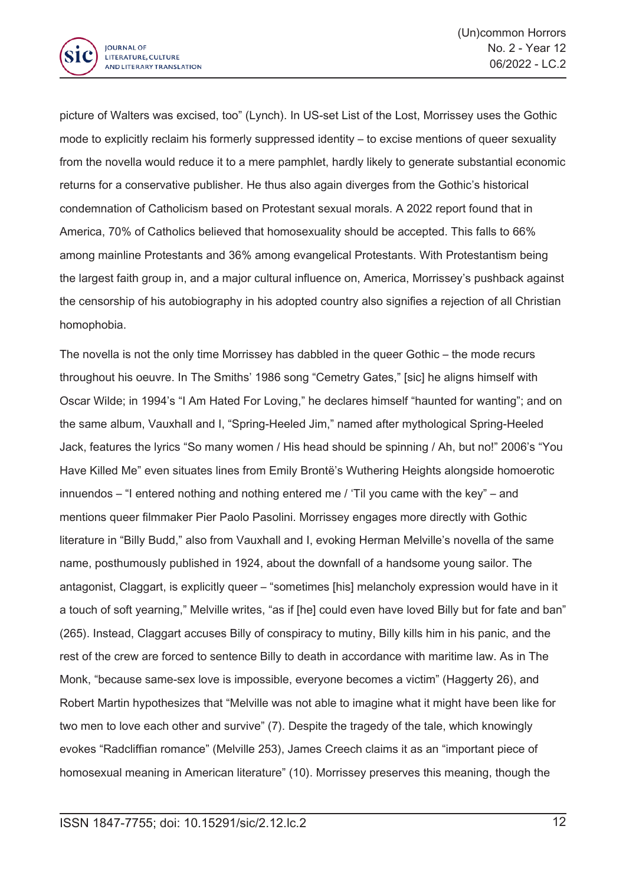

picture of Walters was excised, too" (Lynch). In US-set List of the Lost, Morrissey uses the Gothic mode to explicitly reclaim his formerly suppressed identity – to excise mentions of queer sexuality from the novella would reduce it to <sup>a</sup> mere pamphlet, hardly likely to generate substantial economic returns for <sup>a</sup> conservative publisher. He thus also again diverges from the Gothic's historical condemnation of Catholicism based on Protestant sexual morals. A 2022 report found that in America, 70% of Catholics believed that homosexuality should be accepted. This falls to 66% among mainline Protestants and 36% among evangelical Protestants. With Protestantism being the largest faith group in, and <sup>a</sup> major cultural influence on, America, Morrissey's pushback against the censorship of his autobiography in his adopted country also signifies <sup>a</sup> rejection of all Christian homophobia.

The novella is not the only time Morrissey has dabbled in the queer Gothic – the mode recurs throughout his oeuvre. In The Smiths' 1986 song "Cemetry Gates," [sic] he aligns himself with Oscar Wilde; in 1994's "I Am Hated For Loving," he declares himself "haunted for wanting"; and on the same album, Vauxhall and I, "Spring-Heeled Jim," named after mythological Spring-Heeled Jack, features the lyrics "So many women / His head should be spinning / Ah, but no!" 2006's "You Have Killed Me" even situates lines from Emily Brontë's Wuthering Heights alongside homoerotic innuendos – "I entered nothing and nothing entered me / 'Til you came with the key" – and mentions queer filmmaker Pier Paolo Pasolini. Morrissey engages more directly with Gothic literature in "Billy Budd," also from Vauxhall and I, evoking Herman Melville's novella of the same name, posthumously published in 1924, about the downfall of <sup>a</sup> handsome young sailor. The antagonist, Claggart, is explicitly queer – "sometimes [his] melancholy expression would have in it <sup>a</sup> touch of soft yearning," Melville writes, "as if [he] could even have loved Billy but for fate and ban" (265). Instead, Claggart accuses Billy of conspiracy to mutiny, Billy kills him in his panic, and the rest of the crew are forced to sentence Billy to death in accordance with maritime law. As in The Monk, "because same-sex love is impossible, everyone becomes <sup>a</sup> victim" (Haggerty 26), and Robert Martin hypothesizes that "Melville was not able to imagine what it might have been like for two men to love each other and survive" (7). Despite the tragedy of the tale, which knowingly evokes "Radcliffian romance" (Melville 253), James Creech claims it as an "important piece of homosexual meaning in American literature" (10). Morrissey preserves this meaning, though the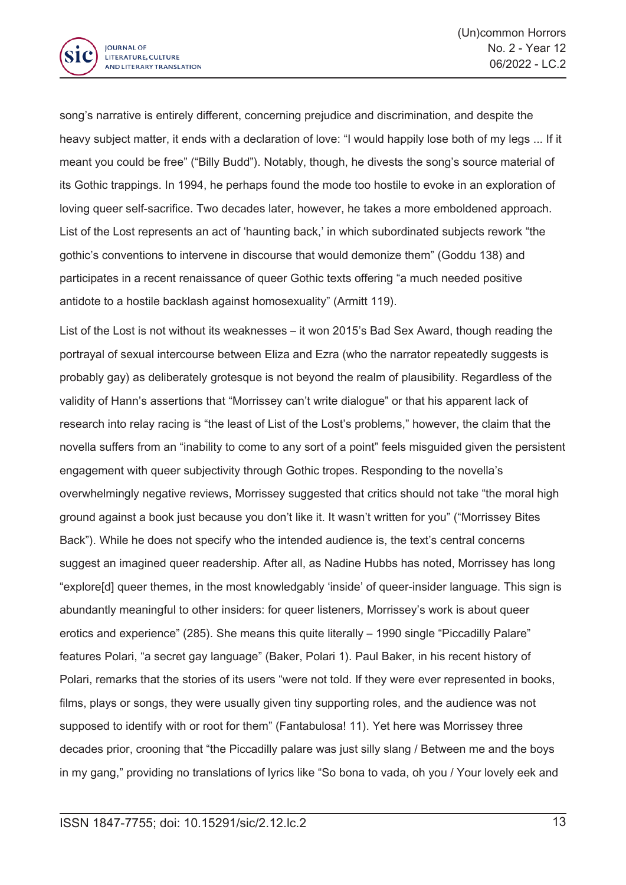

song's narrative is entirely different, concerning prejudice and discrimination, and despite the heavy subject matter, it ends with <sup>a</sup> declaration of love: "I would happily lose both of my legs ... If it meant you could be free" ("Billy Budd"). Notably, though, he divests the song's source material of its Gothic trappings. In 1994, he perhaps found the mode too hostile to evoke in an exploration of loving queer self-sacrifice. Two decades later, however, he takes <sup>a</sup> more emboldened approach. List of the Lost represents an act of 'haunting back,' in which subordinated subjects rework "the gothic's conventions to intervene in discourse that would demonize them" (Goddu 138) and participates in <sup>a</sup> recent renaissance of queer Gothic texts offering "a much needed positive antidote to <sup>a</sup> hostile backlash against homosexuality" (Armitt 119).

List of the Lost is not without its weaknesses – it won 2015's Bad Sex Award, though reading the portrayal of sexual intercourse between Eliza and Ezra (who the narrator repeatedly suggests is probably gay) as deliberately grotesque is not beyond the realm of plausibility. Regardless of the validity of Hann's assertions that "Morrissey can't write dialogue" or that his apparent lack of research into relay racing is "the least of List of the Lost's problems," however, the claim that the novella suffers from an "inability to come to any sort of <sup>a</sup> point" feels misguided given the persistent engagement with queer subjectivity through Gothic tropes. Responding to the novella's overwhelmingly negative reviews, Morrissey suggested that critics should not take "the moral high ground against <sup>a</sup> book just because you don't like it. It wasn't written for you" ("Morrissey Bites Back"). While he does not specify who the intended audience is, the text's central concerns suggest an imagined queer readership. After all, as Nadine Hubbs has noted, Morrissey has long "explore[d] queer themes, in the most knowledgably 'inside' of queer-insider language. This sign is abundantly meaningful to other insiders: for queer listeners, Morrissey's work is about queer erotics and experience" (285). She means this quite literally – 1990 single "Piccadilly Palare" features Polari, "a secret gay language" (Baker, Polari 1). Paul Baker, in his recent history of Polari, remarks that the stories of its users "were not told. If they were ever represented in books, films, plays or songs, they were usually given tiny supporting roles, and the audience was not supposed to identify with or root for them" (Fantabulosa! 11). Yet here was Morrissey three decades prior, crooning that "the Piccadilly palare was just silly slang / Between me and the boys in my gang," providing no translations of lyrics like "So bona to vada, oh you / Your lovely eek and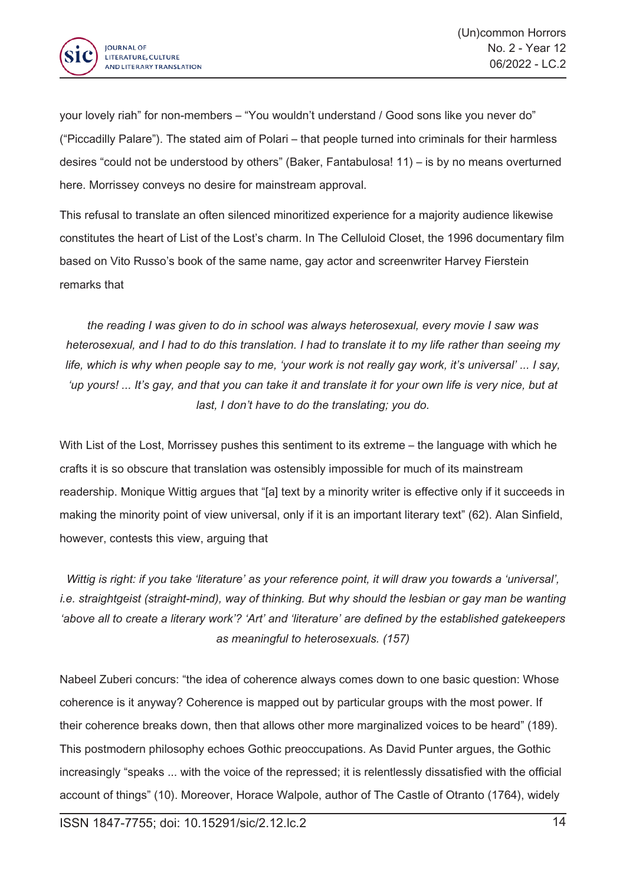

your lovely riah" for non-members – "You wouldn't understand / Good sons like you never do" ("Piccadilly Palare"). The stated aim of Polari – that people turned into criminals for their harmless desires "could not be understood by others" (Baker, Fantabulosa! 11) – is by no means overturned here. Morrissey conveys no desire for mainstream approval.

This refusal to translate an often silenced minoritized experience for <sup>a</sup> majority audience likewise constitutes the heart of List of the Lost's charm. In The Celluloid Closet, the 1996 documentary film based on Vito Russo's book of the same name, gay actor and screenwriter Harvey Fierstein remarks that

*the reading I was given to do in school was always heterosexual, every movie I saw was* heterosexual, and I had to do this translation. I had to translate it to my life rather than seeing my life, which is why when people say to me, 'your work is not really gay work, it's universal'... I say, 'up yours! ... It's gay, and that you can take it and translate it for your own life is very nice, but at *last, I don't have to do the translating; you do.*

With List of the Lost, Morrissey pushes this sentiment to its extreme – the language with which he crafts it is so obscure that translation was ostensibly impossible for much of its mainstream readership. Monique Wittig argues that "[a] text by <sup>a</sup> minority writer is effective only if it succeeds in making the minority point of view universal, only if it is an important literary text" (62). Alan Sinfield, however, contests this view, arguing that

Wittig is right: if you take 'literature' as your reference point, it will draw you towards a 'universal', *i.e. straightgeist (straight-mind), way of thinking. But why should the lesbian or gay man be wanting 'above all to create <sup>a</sup> literary work'? 'Art' and 'literature' are defined by the established gatekeepers as meaningful to heterosexuals. (157)*

Nabeel Zuberi concurs: "the idea of coherence always comes down to one basic question: Whose coherence is it anyway? Coherence is mapped out by particular groups with the most power. If their coherence breaks down, then that allows other more marginalized voices to be heard" (189). This postmodern philosophy echoes Gothic preoccupations. As David Punter argues, the Gothic increasingly "speaks ... with the voice of the repressed; it is relentlessly dissatisfied with the official account of things" (10). Moreover, Horace Walpole, author of The Castle of Otranto (1764), widely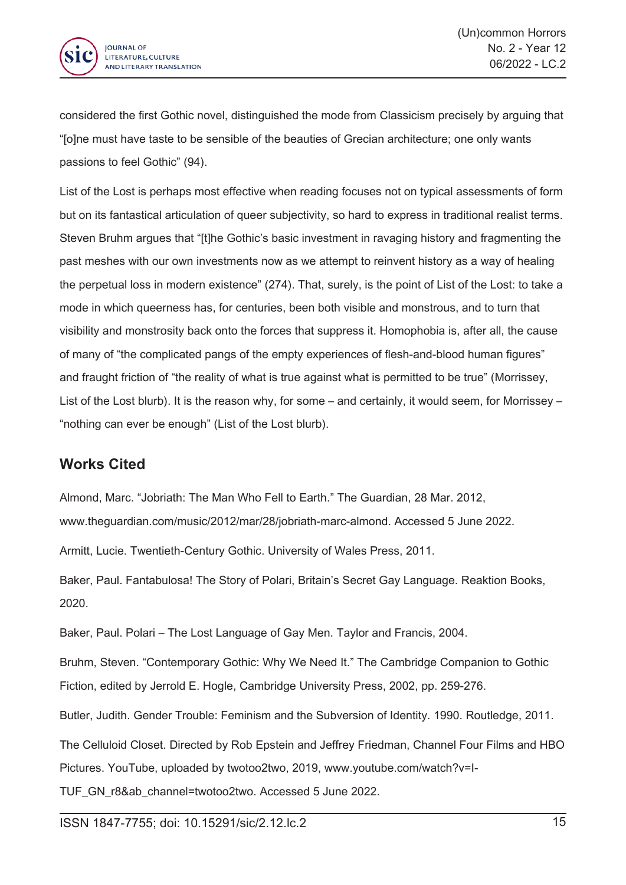

considered the first Gothic novel, distinguished the mode from Classicism precisely by arguing that "[o]ne must have taste to be sensible of the beauties of Grecian architecture; one only wants passions to feel Gothic" (94).

List of the Lost is perhaps most effective when reading focuses not on typical assessments of form but on its fantastical articulation of queer subjectivity, so hard to express in traditional realist terms. Steven Bruhm argues that "[t]he Gothic's basic investment in ravaging history and fragmenting the past meshes with our own investments now as we attempt to reinvent history as <sup>a</sup> way of healing the perpetual loss in modern existence" (274). That, surely, is the point of List of the Lost: to take <sup>a</sup> mode in which queerness has, for centuries, been both visible and monstrous, and to turn that visibility and monstrosity back onto the forces that suppress it. Homophobia is, after all, the cause of many of "the complicated pangs of the empty experiences of flesh-and-blood human figures" and fraught friction of "the reality of what is true against what is permitted to be true" (Morrissey, List of the Lost blurb). It is the reason why, for some – and certainly, it would seem, for Morrissey – "nothing can ever be enough" (List of the Lost blurb).

## **Works Cited**

Almond, Marc. "Jobriath: The Man Who Fell to Earth." The Guardian, 28 Mar. 2012, www.theguardian.com/music/2012/mar/28/jobriath-marc-almond. Accessed 5 June 2022.

Armitt, Lucie. Twentieth-Century Gothic. University of Wales Press, 2011.

Baker, Paul. Fantabulosa! The Story of Polari, Britain's Secret Gay Language. Reaktion Books, 2020.

Baker, Paul. Polari – The Lost Language of Gay Men. Taylor and Francis, 2004.

Bruhm, Steven. "Contemporary Gothic: Why We Need It." The Cambridge Companion to Gothic Fiction, edited by Jerrold E. Hogle, Cambridge University Press, 2002, pp. 259-276.

Butler, Judith. Gender Trouble: Feminism and the Subversion of Identity. 1990. Routledge, 2011.

The Celluloid Closet. Directed by Rob Epstein and Jeffrey Friedman, Channel Four Films and HBO Pictures. YouTube, uploaded by twotoo2two, 2019, www.youtube.com/watch?v=I-

TUF\_GN\_r8&ab\_channel=twotoo2two. Accessed 5 June 2022.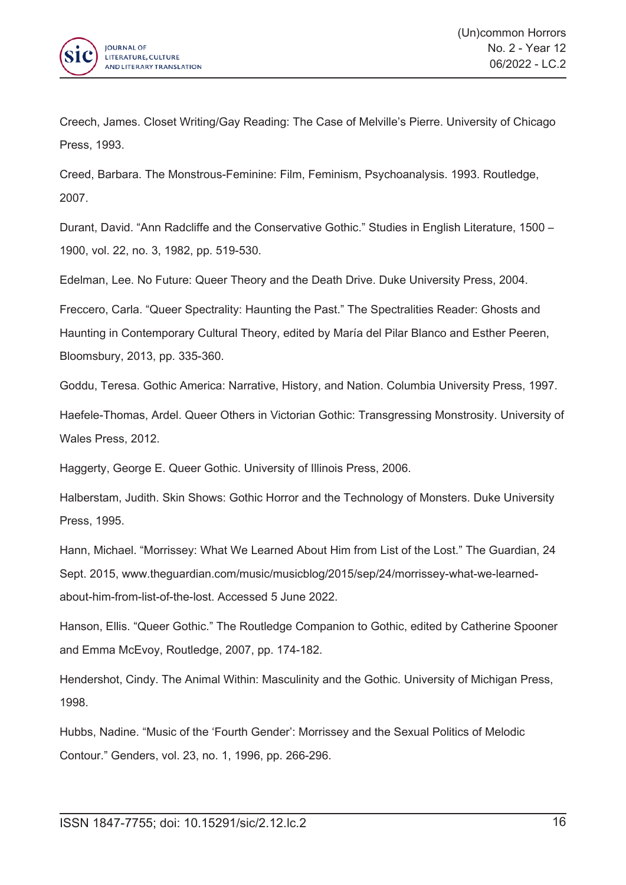

Creech, James. Closet Writing/Gay Reading: The Case of Melville's Pierre. University of Chicago Press, 1993.

Creed, Barbara. The Monstrous-Feminine: Film, Feminism, Psychoanalysis. 1993. Routledge, 2007.

Durant, David. "Ann Radcliffe and the Conservative Gothic." Studies in English Literature, 1500 – 1900, vol. 22, no. 3, 1982, pp. 519-530.

Edelman, Lee. No Future: Queer Theory and the Death Drive. Duke University Press, 2004.

Freccero, Carla. "Queer Spectrality: Haunting the Past." The Spectralities Reader: Ghosts and Haunting in Contemporary Cultural Theory, edited by María del Pilar Blanco and Esther Peeren, Bloomsbury, 2013, pp. 335-360.

Goddu, Teresa. Gothic America: Narrative, History, and Nation. Columbia University Press, 1997.

Haefele-Thomas, Ardel. Queer Others in Victorian Gothic: Transgressing Monstrosity. University of Wales Press, 2012.

Haggerty, George E. Queer Gothic. University of Illinois Press, 2006.

Halberstam, Judith. Skin Shows: Gothic Horror and the Technology of Monsters. Duke University Press, 1995.

Hann, Michael. "Morrissey: What We Learned About Him from List of the Lost." The Guardian, 24 Sept. 2015, www.theguardian.com/music/musicblog/2015/sep/24/morrissey-what-we-learnedabout-him-from-list-of-the-lost. Accessed 5 June 2022.

Hanson, Ellis. "Queer Gothic." The Routledge Companion to Gothic, edited by Catherine Spooner and Emma McEvoy, Routledge, 2007, pp. 174-182.

Hendershot, Cindy. The Animal Within: Masculinity and the Gothic. University of Michigan Press, 1998.

Hubbs, Nadine. "Music of the 'Fourth Gender': Morrissey and the Sexual Politics of Melodic Contour." Genders, vol. 23, no. 1, 1996, pp. 266-296.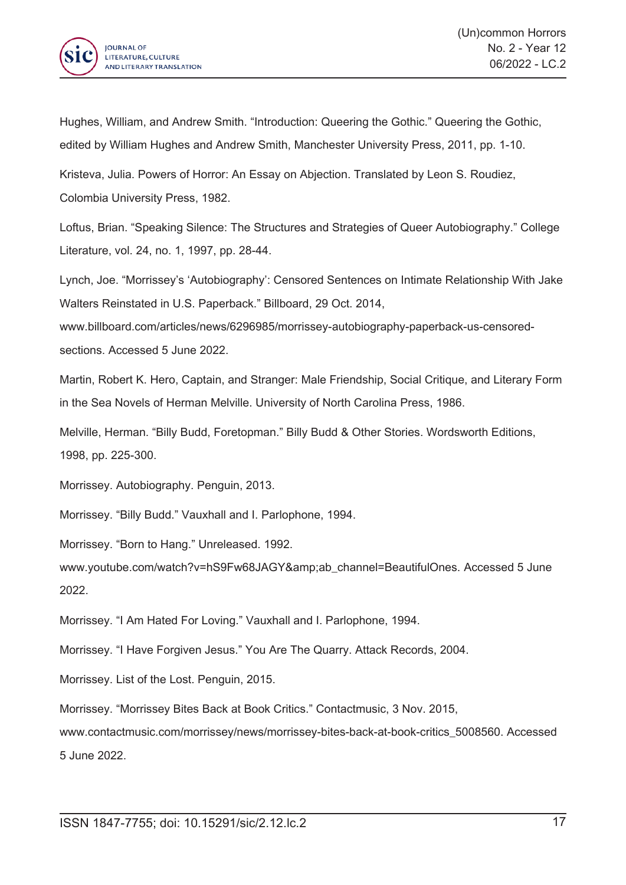

Hughes, William, and Andrew Smith. "Introduction: Queering the Gothic." Queering the Gothic, edited by William Hughes and Andrew Smith, Manchester University Press, 2011, pp. 1-10.

Kristeva, Julia. Powers of Horror: An Essay on Abjection. Translated by Leon S. Roudiez, Colombia University Press, 1982.

Loftus, Brian. "Speaking Silence: The Structures and Strategies of Queer Autobiography." College Literature, vol. 24, no. 1, 1997, pp. 28-44.

Lynch, Joe. "Morrissey's 'Autobiography': Censored Sentences on Intimate Relationship With Jake Walters Reinstated in U.S. Paperback." Billboard, 29 Oct. 2014,

www.billboard.com/articles/news/6296985/morrissey-autobiography-paperback-us-censoredsections. Accessed 5 June 2022.

Martin, Robert K. Hero, Captain, and Stranger: Male Friendship, Social Critique, and Literary Form in the Sea Novels of Herman Melville. University of North Carolina Press, 1986.

Melville, Herman. "Billy Budd, Foretopman." Billy Budd & Other Stories. Wordsworth Editions, 1998, pp. 225-300.

Morrissey. Autobiography. Penguin, 2013.

Morrissey. "Billy Budd." Vauxhall and I. Parlophone, 1994.

Morrissey. "Born to Hang." Unreleased. 1992.

www.youtube.com/watch?v=hS9Fw68JAGY&ab\_channel=BeautifulOnes. Accessed 5 June 2022.

Morrissey. "I Am Hated For Loving." Vauxhall and I. Parlophone, 1994.

Morrissey. "I Have Forgiven Jesus." You Are The Quarry. Attack Records, 2004.

Morrissey. List of the Lost. Penguin, 2015.

Morrissey. "Morrissey Bites Back at Book Critics." Contactmusic, 3 Nov. 2015,

www.contactmusic.com/morrissey/news/morrissey-bites-back-at-book-critics\_5008560. Accessed 5 June 2022.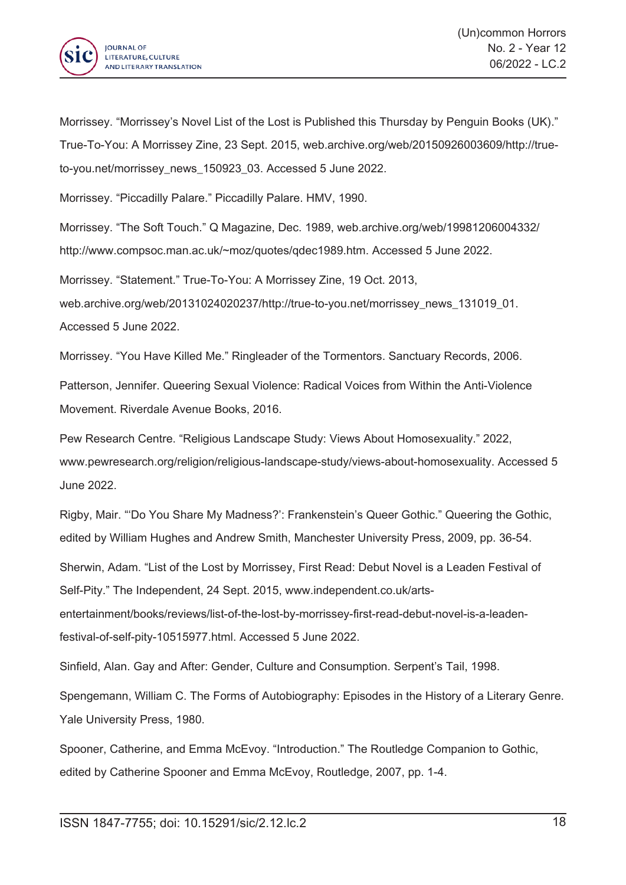

Morrissey. "Morrissey's Novel List of the Lost is Published this Thursday by Penguin Books (UK)." True-To-You: A Morrissey Zine, 23 Sept. 2015, web.archive.org/web/20150926003609/http://trueto-you.net/morrissey\_news\_150923\_03. Accessed 5 June 2022.

Morrissey. "Piccadilly Palare." Piccadilly Palare. HMV, 1990.

Morrissey. "The Soft Touch." Q Magazine, Dec. 1989, web.archive.org/web/19981206004332/ http://www.compsoc.man.ac.uk/~moz/quotes/qdec1989.htm. Accessed 5 June 2022.

Morrissey. "Statement." True-To-You: A Morrissey Zine, 19 Oct. 2013, web.archive.org/web/20131024020237/http://true-to-you.net/morrissey\_news\_131019\_01. Accessed 5 June 2022.

Morrissey. "You Have Killed Me." Ringleader of the Tormentors. Sanctuary Records, 2006.

Patterson, Jennifer. Queering Sexual Violence: Radical Voices from Within the Anti-Violence Movement. Riverdale Avenue Books, 2016.

Pew Research Centre. "Religious Landscape Study: Views About Homosexuality." 2022, www.pewresearch.org/religion/religious-landscape-study/views-about-homosexuality. Accessed 5 June 2022.

Rigby, Mair. "'Do You Share My Madness?': Frankenstein's Queer Gothic." Queering the Gothic, edited by William Hughes and Andrew Smith, Manchester University Press, 2009, pp. 36-54.

Sherwin, Adam. "List of the Lost by Morrissey, First Read: Debut Novel is <sup>a</sup> Leaden Festival of Self-Pity." The Independent, 24 Sept. 2015, www.independent.co.uk/artsentertainment/books/reviews/list-of-the-lost-by-morrissey-first-read-debut-novel-is-a-leadenfestival-of-self-pity-10515977.html. Accessed 5 June 2022.

Sinfield, Alan. Gay and After: Gender, Culture and Consumption. Serpent's Tail, 1998.

Spengemann, William C. The Forms of Autobiography: Episodes in the History of <sup>a</sup> Literary Genre. Yale University Press, 1980.

Spooner, Catherine, and Emma McEvoy. "Introduction." The Routledge Companion to Gothic, edited by Catherine Spooner and Emma McEvoy, Routledge, 2007, pp. 1-4.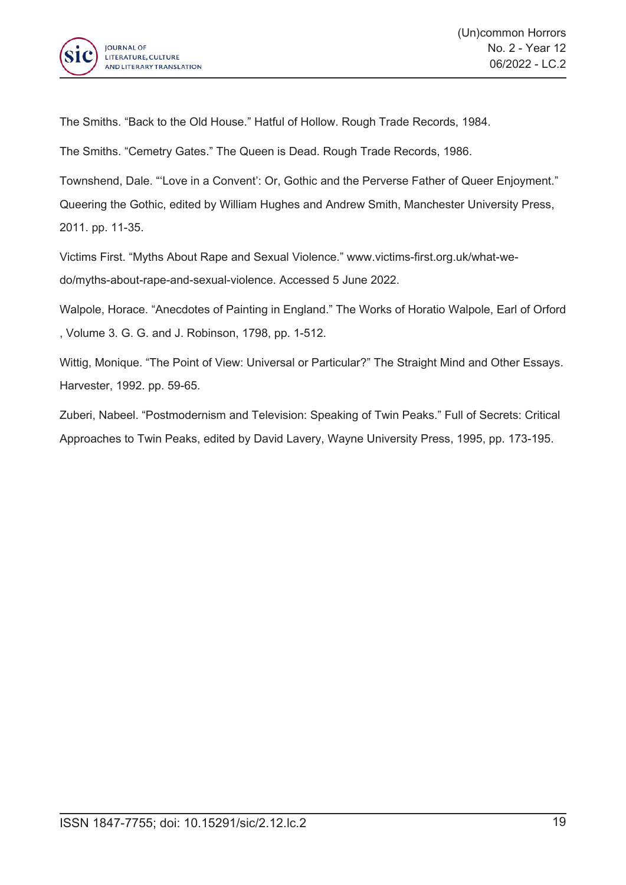

The Smiths. "Back to the Old House." Hatful of Hollow. Rough Trade Records, 1984.

The Smiths. "Cemetry Gates." The Queen is Dead. Rough Trade Records, 1986.

Townshend, Dale. "'Love in <sup>a</sup> Convent': Or, Gothic and the Perverse Father of Queer Enjoyment." Queering the Gothic, edited by William Hughes and Andrew Smith, Manchester University Press, 2011. pp. 11-35.

Victims First. "Myths About Rape and Sexual Violence." www.victims-first.org.uk/what-wedo/myths-about-rape-and-sexual-violence. Accessed 5 June 2022.

Walpole, Horace. "Anecdotes of Painting in England." The Works of Horatio Walpole, Earl of Orford , Volume 3. G. G. and J. Robinson, 1798, pp. 1-512.

Wittig, Monique. "The Point of View: Universal or Particular?" The Straight Mind and Other Essays. Harvester, 1992. pp. 59-65.

Zuberi, Nabeel. "Postmodernism and Television: Speaking of Twin Peaks." Full of Secrets: Critical Approaches to Twin Peaks, edited by David Lavery, Wayne University Press, 1995, pp. 173-195.